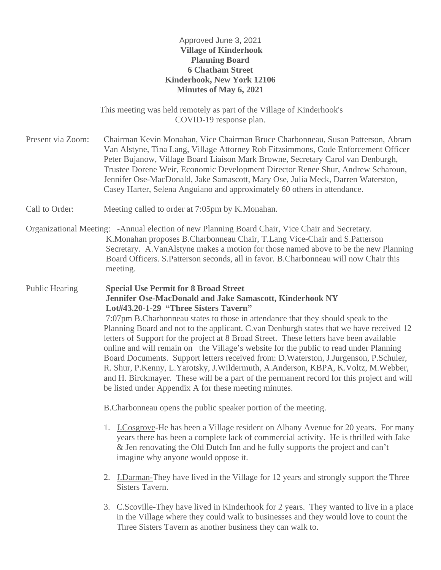### Approved June 3, 2021 **Village of Kinderhook Planning Board 6 Chatham Street Kinderhook, New York 12106 Minutes of May 6, 2021**

This meeting was held remotely as part of the Village of Kinderhook's COVID-19 response plan.

Present via Zoom: Chairman Kevin Monahan, Vice Chairman Bruce Charbonneau, Susan Patterson, Abram Van Alstyne, Tina Lang, Village Attorney Rob Fitzsimmons, Code Enforcement Officer Peter Bujanow, Village Board Liaison Mark Browne, Secretary Carol van Denburgh, Trustee Dorene Weir, Economic Development Director Renee Shur, Andrew Scharoun, Jennifer Ose-MacDonald, Jake Samascott, Mary Ose, Julia Meck, Darren Waterston, Casey Harter, Selena Anguiano and approximately 60 others in attendance.

Call to Order: Meeting called to order at 7:05pm by K.Monahan.

Organizational Meeting: -Annual election of new Planning Board Chair, Vice Chair and Secretary. K.Monahan proposes B.Charbonneau Chair, T.Lang Vice-Chair and S.Patterson Secretary. A.VanAlstyne makes a motion for those named above to be the new Planning Board Officers. S.Patterson seconds, all in favor. B.Charbonneau will now Chair this meeting.

Public Hearing **Special Use Permit for 8 Broad Street Jennifer Ose-MacDonald and Jake Samascott, Kinderhook NY Lot#43.20-1-29 "Three Sisters Tavern"** 7:07pm B.Charbonneau states to those in attendance that they should speak to the Planning Board and not to the applicant. C.van Denburgh states that we have received 12 letters of Support for the project at 8 Broad Street. These letters have been available online and will remain on the Village's website for the public to read under Planning Board Documents. Support letters received from: D.Waterston, J.Jurgenson, P.Schuler, R. Shur, P.Kenny, L.Yarotsky, J.Wildermuth, A.Anderson, KBPA, K.Voltz, M.Webber, and H. Birckmayer. These will be a part of the permanent record for this project and will

B.Charbonneau opens the public speaker portion of the meeting.

be listed under Appendix A for these meeting minutes.

- 1. J.Cosgrove-He has been a Village resident on Albany Avenue for 20 years. For many years there has been a complete lack of commercial activity. He is thrilled with Jake & Jen renovating the Old Dutch Inn and he fully supports the project and can't imagine why anyone would oppose it.
- 2. J.Darman-They have lived in the Village for 12 years and strongly support the Three Sisters Tavern.
- 3. C.Scoville-They have lived in Kinderhook for 2 years. They wanted to live in a place in the Village where they could walk to businesses and they would love to count the Three Sisters Tavern as another business they can walk to.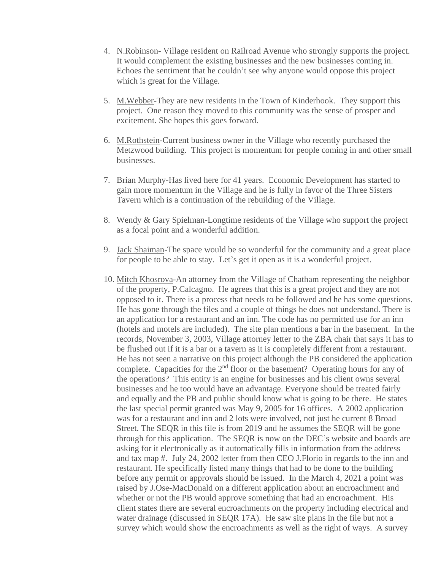- 4. N.Robinson- Village resident on Railroad Avenue who strongly supports the project. It would complement the existing businesses and the new businesses coming in. Echoes the sentiment that he couldn't see why anyone would oppose this project which is great for the Village.
- 5. M.Webber-They are new residents in the Town of Kinderhook. They support this project. One reason they moved to this community was the sense of prosper and excitement. She hopes this goes forward.
- 6. M.Rothstein-Current business owner in the Village who recently purchased the Metzwood building. This project is momentum for people coming in and other small businesses.
- 7. Brian Murphy-Has lived here for 41 years. Economic Development has started to gain more momentum in the Village and he is fully in favor of the Three Sisters Tavern which is a continuation of the rebuilding of the Village.
- 8. Wendy & Gary Spielman-Longtime residents of the Village who support the project as a focal point and a wonderful addition.
- 9. Jack Shaiman-The space would be so wonderful for the community and a great place for people to be able to stay. Let's get it open as it is a wonderful project.
- 10. Mitch Khosrova-An attorney from the Village of Chatham representing the neighbor of the property, P.Calcagno. He agrees that this is a great project and they are not opposed to it. There is a process that needs to be followed and he has some questions. He has gone through the files and a couple of things he does not understand. There is an application for a restaurant and an inn. The code has no permitted use for an inn (hotels and motels are included). The site plan mentions a bar in the basement. In the records, November 3, 2003, Village attorney letter to the ZBA chair that says it has to be flushed out if it is a bar or a tavern as it is completely different from a restaurant. He has not seen a narrative on this project although the PB considered the application complete. Capacities for the  $2<sup>nd</sup>$  floor or the basement? Operating hours for any of the operations? This entity is an engine for businesses and his client owns several businesses and he too would have an advantage. Everyone should be treated fairly and equally and the PB and public should know what is going to be there. He states the last special permit granted was May 9, 2005 for 16 offices. A 2002 application was for a restaurant and inn and 2 lots were involved, not just he current 8 Broad Street. The SEQR in this file is from 2019 and he assumes the SEQR will be gone through for this application. The SEQR is now on the DEC's website and boards are asking for it electronically as it automatically fills in information from the address and tax map #. July 24, 2002 letter from then CEO J.Florio in regards to the inn and restaurant. He specifically listed many things that had to be done to the building before any permit or approvals should be issued. In the March 4, 2021 a point was raised by J.Ose-MacDonald on a different application about an encroachment and whether or not the PB would approve something that had an encroachment. His client states there are several encroachments on the property including electrical and water drainage (discussed in SEQR 17A). He saw site plans in the file but not a survey which would show the encroachments as well as the right of ways. A survey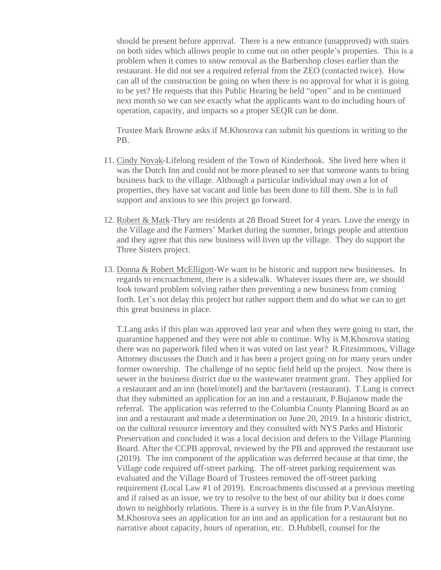should be present before approval. There is a new entrance (unapproved) with stairs on both sides which allows people to come out on other people's properties. This is a problem when it comes to snow removal as the Barbershop closes earlier than the restaurant. He did not see a required referral from the ZEO (contacted twice). How can all of the construction be going on when there is no approval for what it is going to be yet? He requests that this Public Hearing be held "open" and to be continued next month so we can see exactly what the applicants want to do including hours of operation, capacity, and impacts so a proper SEQR can be done.

Trustee Mark Browne asks if M.Khosrova can submit his questions in writing to the PB.

- 11. Cindy Novak-Lifelong resident of the Town of Kinderhook. She lived here when it was the Dutch Inn and could not be more pleased to see that someone wants to bring business back to the village. Although a particular individual may own a lot of properties, they have sat vacant and little has been done to fill them. She is in full support and anxious to see this project go forward.
- 12. Robert & Mark-They are residents at 28 Broad Street for 4 years. Love the energy in the Village and the Farmers' Market during the summer, brings people and attention and they agree that this new business will liven up the village. They do support the Three Sisters project.
- 13. Donna & Robert McElligott-We want to be historic and support new businesses. In regards to encroachment, there is a sidewalk. Whatever issues there are, we should look toward problem solving rather then preventing a new business from coming forth. Let's not delay this project but rather support them and do what we can to get this great business in place.

T.Lang asks if this plan was approved last year and when they were going to start, the quarantine happened and they were not able to continue. Why is M.Khosrova stating there was no paperwork filed when it was voted on last year? R.Fitzsimmons, Village Attorney discusses the Dutch and it has been a project going on for many years under former ownership. The challenge of no septic field held up the project. Now there is sewer in the business district due to the wastewater treatment grant. They applied for a restaurant and an inn (hotel/motel) and the bar/tavern (restaurant). T.Lang is correct that they submitted an application for an inn and a restaurant, P.Bujanow made the referral. The application was referred to the Columbia County Planning Board as an inn and a restaurant and made a determination on June 20, 2019. In a historic district, on the cultural resource inventory and they consulted with NYS Parks and Historic Preservation and concluded it was a local decision and defers to the Village Planning Board. After the CCPB approval, reviewed by the PB and approved the restaurant use (2019). The inn component of the application was deferred because at that time, the Village code required off-street parking. The off-street parking requirement was evaluated and the Village Board of Trustees removed the off-street parking requirement (Local Law #1 of 2019). Encroachments discussed at a previous meeting and if raised as an issue, we try to resolve to the best of our ability but it does come down to neighborly relations. There is a survey is in the file from P.VanAlstyne. M.Khosrova sees an application for an inn and an application for a restaurant but no narrative about capacity, hours of operation, etc. D.Hubbell, counsel for the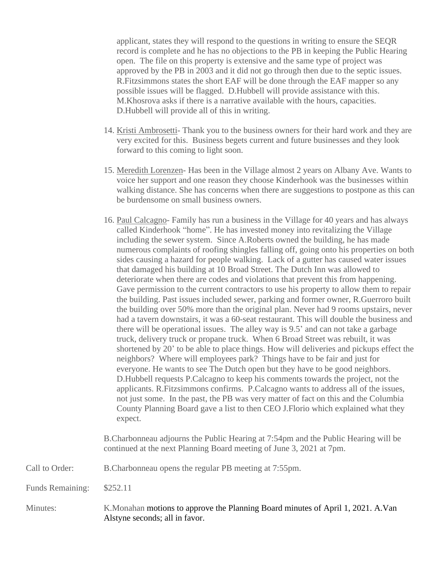applicant, states they will respond to the questions in writing to ensure the SEQR record is complete and he has no objections to the PB in keeping the Public Hearing open. The file on this property is extensive and the same type of project was approved by the PB in 2003 and it did not go through then due to the septic issues. R.Fitzsimmons states the short EAF will be done through the EAF mapper so any possible issues will be flagged. D.Hubbell will provide assistance with this. M.Khosrova asks if there is a narrative available with the hours, capacities. D.Hubbell will provide all of this in writing.

- 14. Kristi Ambrosetti- Thank you to the business owners for their hard work and they are very excited for this. Business begets current and future businesses and they look forward to this coming to light soon.
- 15. Meredith Lorenzen- Has been in the Village almost 2 years on Albany Ave. Wants to voice her support and one reason they choose Kinderhook was the businesses within walking distance. She has concerns when there are suggestions to postpone as this can be burdensome on small business owners.
- 16. Paul Calcagno- Family has run a business in the Village for 40 years and has always called Kinderhook "home". He has invested money into revitalizing the Village including the sewer system. Since A.Roberts owned the building, he has made numerous complaints of roofing shingles falling off, going onto his properties on both sides causing a hazard for people walking. Lack of a gutter has caused water issues that damaged his building at 10 Broad Street. The Dutch Inn was allowed to deteriorate when there are codes and violations that prevent this from happening. Gave permission to the current contractors to use his property to allow them to repair the building. Past issues included sewer, parking and former owner, R.Guerroro built the building over 50% more than the original plan. Never had 9 rooms upstairs, never had a tavern downstairs, it was a 60-seat restaurant. This will double the business and there will be operational issues. The alley way is 9.5' and can not take a garbage truck, delivery truck or propane truck. When 6 Broad Street was rebuilt, it was shortened by 20' to be able to place things. How will deliveries and pickups effect the neighbors? Where will employees park? Things have to be fair and just for everyone. He wants to see The Dutch open but they have to be good neighbors. D.Hubbell requests P.Calcagno to keep his comments towards the project, not the applicants. R.Fitzsimmons confirms. P.Calcagno wants to address all of the issues, not just some. In the past, the PB was very matter of fact on this and the Columbia County Planning Board gave a list to then CEO J.Florio which explained what they expect.

B.Charbonneau adjourns the Public Hearing at 7:54pm and the Public Hearing will be continued at the next Planning Board meeting of June 3, 2021 at 7pm.

Call to Order: B.Charbonneau opens the regular PB meeting at 7:55pm.

Funds Remaining: \$252.11

Minutes: K.Monahan motions to approve the Planning Board minutes of April 1, 2021. A.Van Alstyne seconds; all in favor.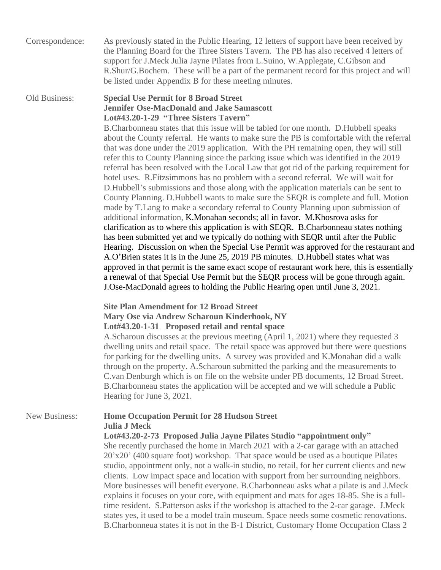Correspondence: As previously stated in the Public Hearing, 12 letters of support have been received by the Planning Board for the Three Sisters Tavern. The PB has also received 4 letters of support for J.Meck Julia Jayne Pilates from L.Suino, W.Applegate, C.Gibson and R.Shur/G.Bochem. These will be a part of the permanent record for this project and will be listed under Appendix B for these meeting minutes.

### Old Business: **Special Use Permit for 8 Broad Street Jennifer Ose-MacDonald and Jake Samascott Lot#43.20-1-29 "Three Sisters Tavern"**

B.Charbonneau states that this issue will be tabled for one month. D.Hubbell speaks about the County referral. He wants to make sure the PB is comfortable with the referral that was done under the 2019 application. With the PH remaining open, they will still refer this to County Planning since the parking issue which was identified in the 2019 referral has been resolved with the Local Law that got rid of the parking requirement for hotel uses. R.Fitzsimmons has no problem with a second referral. We will wait for D.Hubbell's submissions and those along with the application materials can be sent to County Planning. D.Hubbell wants to make sure the SEQR is complete and full. Motion made by T.Lang to make a secondary referral to County Planning upon submission of additional information, K.Monahan seconds; all in favor. M.Khosrova asks for clarification as to where this application is with SEQR. B.Charbonneau states nothing has been submitted yet and we typically do nothing with SEQR until after the Public Hearing. Discussion on when the Special Use Permit was approved for the restaurant and A.O'Brien states it is in the June 25, 2019 PB minutes. D.Hubbell states what was approved in that permit is the same exact scope of restaurant work here, this is essentially a renewal of that Special Use Permit but the SEQR process will be gone through again. J.Ose-MacDonald agrees to holding the Public Hearing open until June 3, 2021.

## **Site Plan Amendment for 12 Broad Street Mary Ose via Andrew Scharoun Kinderhook, NY Lot#43.20-1-31 Proposed retail and rental space**

A.Scharoun discusses at the previous meeting (April 1, 2021) where they requested 3 dwelling units and retail space. The retail space was approved but there were questions for parking for the dwelling units. A survey was provided and K.Monahan did a walk through on the property. A.Scharoun submitted the parking and the measurements to C.van Denburgh which is on file on the website under PB documents, 12 Broad Street. B.Charbonneau states the application will be accepted and we will schedule a Public Hearing for June 3, 2021.

#### New Business: **Home Occupation Permit for 28 Hudson Street Julia J Meck**

#### **Lot#43.20-2-73 Proposed Julia Jayne Pilates Studio "appointment only"**

She recently purchased the home in March 2021 with a 2-car garage with an attached 20'x20' (400 square foot) workshop. That space would be used as a boutique Pilates studio, appointment only, not a walk-in studio, no retail, for her current clients and new clients. Low impact space and location with support from her surrounding neighbors. More businesses will benefit everyone. B.Charbonneau asks what a pilate is and J.Meck explains it focuses on your core, with equipment and mats for ages 18-85. She is a fulltime resident. S.Patterson asks if the workshop is attached to the 2-car garage. J.Meck states yes, it used to be a model train museum. Space needs some cosmetic renovations. B.Charbonneua states it is not in the B-1 District, Customary Home Occupation Class 2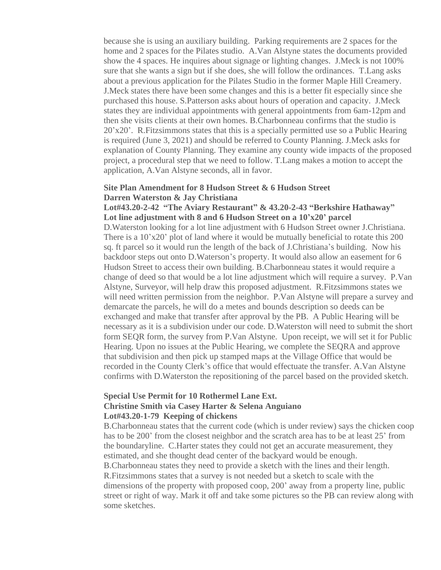because she is using an auxiliary building. Parking requirements are 2 spaces for the home and 2 spaces for the Pilates studio. A.Van Alstyne states the documents provided show the 4 spaces. He inquires about signage or lighting changes. J.Meck is not 100% sure that she wants a sign but if she does, she will follow the ordinances. T.Lang asks about a previous application for the Pilates Studio in the former Maple Hill Creamery. J.Meck states there have been some changes and this is a better fit especially since she purchased this house. S.Patterson asks about hours of operation and capacity. J.Meck states they are individual appointments with general appointments from 6am-12pm and then she visits clients at their own homes. B.Charbonneau confirms that the studio is 20'x20'. R.Fitzsimmons states that this is a specially permitted use so a Public Hearing is required (June 3, 2021) and should be referred to County Planning. J.Meck asks for explanation of County Planning. They examine any county wide impacts of the proposed project, a procedural step that we need to follow. T.Lang makes a motion to accept the application, A.Van Alstyne seconds, all in favor.

### **Site Plan Amendment for 8 Hudson Street & 6 Hudson Street Darren Waterston & Jay Christiana**

#### **Lot#43.20-2-42 "The Aviary Restaurant" & 43.20-2-43 "Berkshire Hathaway" Lot line adjustment with 8 and 6 Hudson Street on a 10'x20' parcel**

D.Waterston looking for a lot line adjustment with 6 Hudson Street owner J.Christiana. There is a 10'x20' plot of land where it would be mutually beneficial to rotate this 200 sq. ft parcel so it would run the length of the back of J.Christiana's building. Now his backdoor steps out onto D.Waterson's property. It would also allow an easement for 6 Hudson Street to access their own building. B.Charbonneau states it would require a change of deed so that would be a lot line adjustment which will require a survey. P.Van Alstyne, Surveyor, will help draw this proposed adjustment. R.Fitzsimmons states we will need written permission from the neighbor. P.Van Alstyne will prepare a survey and demarcate the parcels, he will do a metes and bounds description so deeds can be exchanged and make that transfer after approval by the PB. A Public Hearing will be necessary as it is a subdivision under our code. D.Waterston will need to submit the short form SEQR form, the survey from P.Van Alstyne. Upon receipt, we will set it for Public Hearing. Upon no issues at the Public Hearing, we complete the SEQRA and approve that subdivision and then pick up stamped maps at the Village Office that would be recorded in the County Clerk's office that would effectuate the transfer. A.Van Alstyne confirms with D.Waterston the repositioning of the parcel based on the provided sketch.

#### **Special Use Permit for 10 Rothermel Lane Ext. Christine Smith via Casey Harter & Selena Anguiano Lot#43.20-1-79 Keeping of chickens**

B.Charbonneau states that the current code (which is under review) says the chicken coop has to be 200' from the closest neighbor and the scratch area has to be at least 25' from the boundaryline. C.Harter states they could not get an accurate measurement, they estimated, and she thought dead center of the backyard would be enough. B.Charbonneau states they need to provide a sketch with the lines and their length. R.Fitzsimmons states that a survey is not needed but a sketch to scale with the dimensions of the property with proposed coop, 200' away from a property line, public street or right of way. Mark it off and take some pictures so the PB can review along with some sketches.